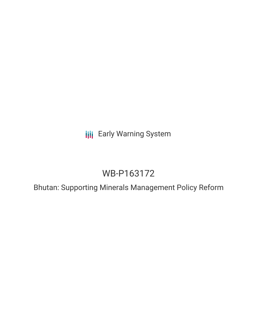**III** Early Warning System

# WB-P163172

Bhutan: Supporting Minerals Management Policy Reform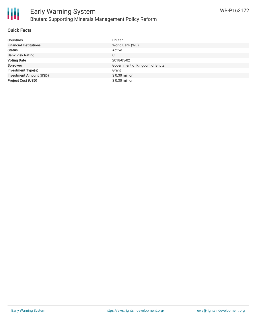

### **Quick Facts**

| <b>Countries</b>               | <b>Bhutan</b>                   |
|--------------------------------|---------------------------------|
| <b>Financial Institutions</b>  | World Bank (WB)                 |
| <b>Status</b>                  | Active                          |
| <b>Bank Risk Rating</b>        | С                               |
| <b>Voting Date</b>             | 2018-05-02                      |
| <b>Borrower</b>                | Government of Kingdom of Bhutan |
| <b>Investment Type(s)</b>      | Grant                           |
| <b>Investment Amount (USD)</b> | $$0.30$ million                 |
| <b>Project Cost (USD)</b>      | $$0.30$ million                 |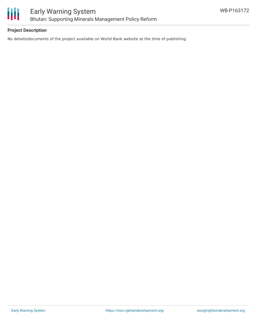

### **Project Description**

No details/documents of the project available on World Bank website at the time of publishing.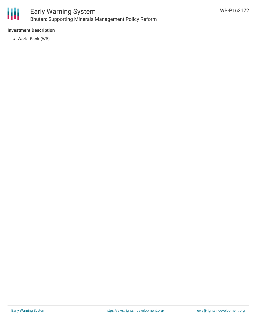

# Early Warning System Bhutan: Supporting Minerals Management Policy Reform

## **Investment Description**

World Bank (WB)